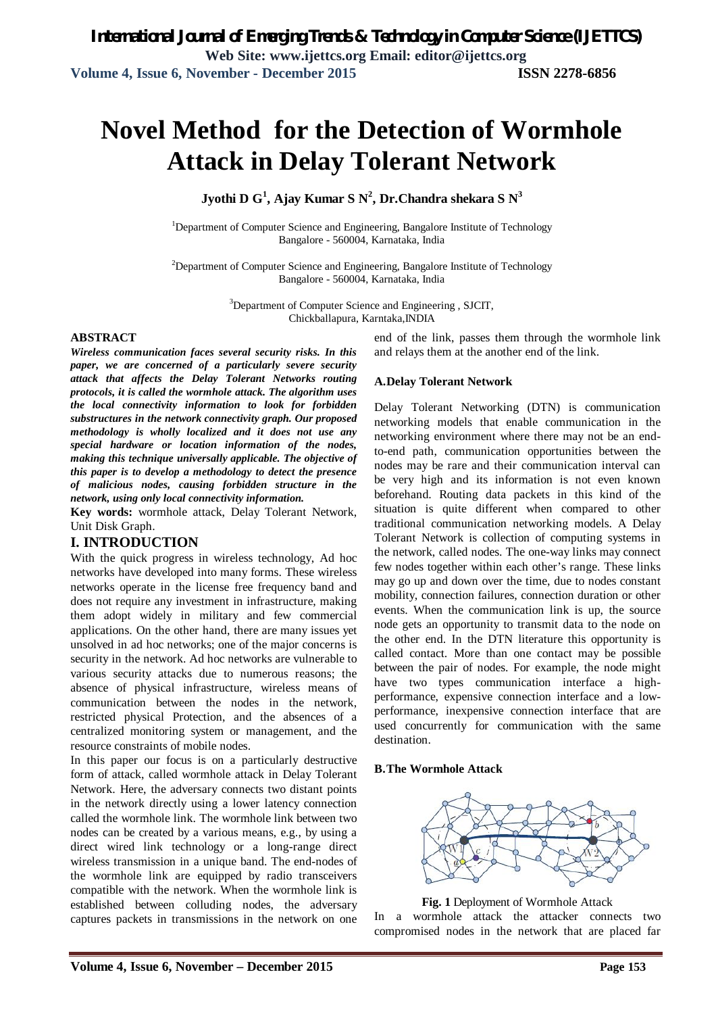# **Novel Method for the Detection of Wormhole Attack in Delay Tolerant Network**

**Jyothi D G<sup>1</sup> , Ajay Kumar S N<sup>2</sup> , Dr.Chandra shekara S N<sup>3</sup>**

<sup>1</sup>Department of Computer Science and Engineering, Bangalore Institute of Technology Bangalore - 560004, Karnataka, India

<sup>2</sup>Department of Computer Science and Engineering, Bangalore Institute of Technology Bangalore - 560004, Karnataka, India

> <sup>3</sup>Department of Computer Science and Engineering, SJCIT, Chickballapura, Karntaka,INDIA

#### **ABSTRACT**

*Wireless communication faces several security risks. In this paper, we are concerned of a particularly severe security attack that affects the Delay Tolerant Networks routing protocols, it is called the wormhole attack. The algorithm uses the local connectivity information to look for forbidden substructures in the network connectivity graph. Our proposed methodology is wholly localized and it does not use any special hardware or location information of the nodes, making this technique universally applicable. The objective of this paper is to develop a methodology to detect the presence of malicious nodes, causing forbidden structure in the network, using only local connectivity information.*

**Key words:** wormhole attack, Delay Tolerant Network, Unit Disk Graph.

### **I. INTRODUCTION**

With the quick progress in wireless technology, Ad hoc networks have developed into many forms. These wireless networks operate in the license free frequency band and does not require any investment in infrastructure, making them adopt widely in military and few commercial applications. On the other hand, there are many issues yet unsolved in ad hoc networks; one of the major concerns is security in the network. Ad hoc networks are vulnerable to various security attacks due to numerous reasons; the absence of physical infrastructure, wireless means of communication between the nodes in the network, restricted physical Protection, and the absences of a centralized monitoring system or management, and the resource constraints of mobile nodes.

In this paper our focus is on a particularly destructive form of attack, called wormhole attack in Delay Tolerant Network. Here, the adversary connects two distant points in the network directly using a lower latency connection called the wormhole link. The wormhole link between two nodes can be created by a various means, e.g., by using a direct wired link technology or a long-range direct wireless transmission in a unique band. The end-nodes of the wormhole link are equipped by radio transceivers compatible with the network. When the wormhole link is established between colluding nodes, the adversary captures packets in transmissions in the network on one end of the link, passes them through the wormhole link and relays them at the another end of the link.

### **A.Delay Tolerant Network**

Delay Tolerant Networking (DTN) is communication networking models that enable communication in the networking environment where there may not be an endto-end path, communication opportunities between the nodes may be rare and their communication interval can be very high and its information is not even known beforehand. Routing data packets in this kind of the situation is quite different when compared to other traditional communication networking models. A Delay Tolerant Network is collection of computing systems in the network, called nodes. The one-way links may connect few nodes together within each other's range. These links may go up and down over the time, due to nodes constant mobility, connection failures, connection duration or other events. When the communication link is up, the source node gets an opportunity to transmit data to the node on the other end. In the DTN literature this opportunity is called contact. More than one contact may be possible between the pair of nodes. For example, the node might have two types communication interface a highperformance, expensive connection interface and a lowperformance, inexpensive connection interface that are used concurrently for communication with the same destination.

#### **B.The Wormhole Attack**



**Fig. 1** Deployment of Wormhole Attack

In a wormhole attack the attacker connects two compromised nodes in the network that are placed far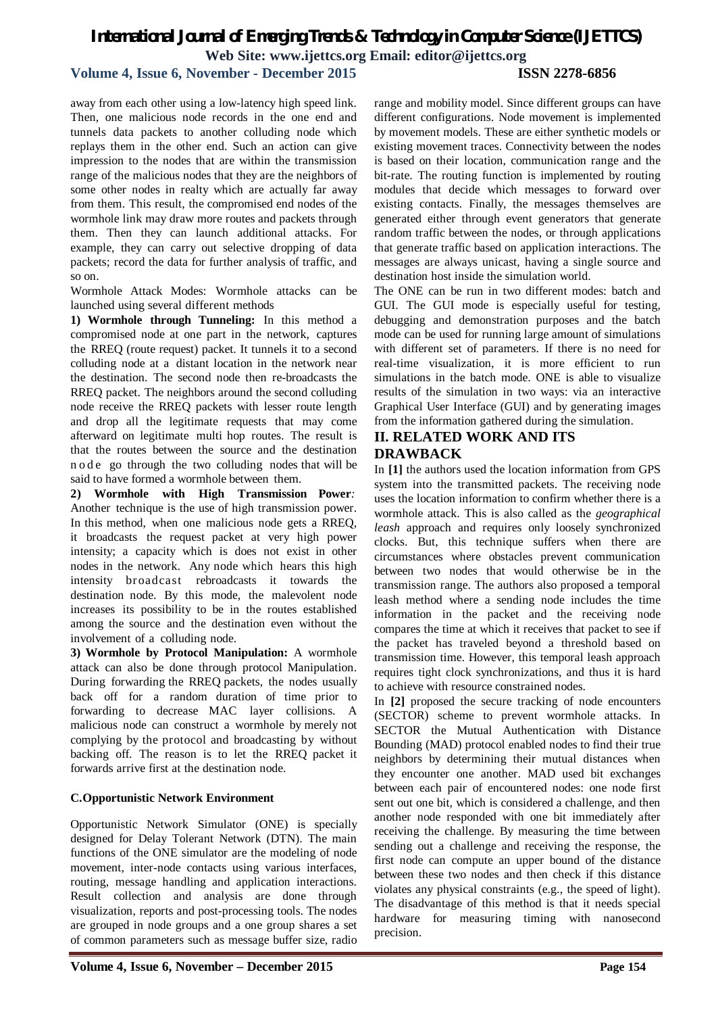away from each other using a low-latency high speed link. Then, one malicious node records in the one end and tunnels data packets to another colluding node which replays them in the other end. Such an action can give impression to the nodes that are within the transmission range of the malicious nodes that they are the neighbors of some other nodes in realty which are actually far away from them. This result, the compromised end nodes of the wormhole link may draw more routes and packets through them. Then they can launch additional attacks. For example, they can carry out selective dropping of data packets; record the data for further analysis of traffic, and so on.

Wormhole Attack Modes: Wormhole attacks can be launched using several different methods

**1) Wormhole through Tunneling:** In this method a compromised node at one part in the network, captures the RREQ (route request) packet. It tunnels it to a second colluding node at a distant location in the network near the destination. The second node then re-broadcasts the RREQ packet. The neighbors around the second colluding node receive the RREQ packets with lesser route length and drop all the legitimate requests that may come afterward on legitimate multi hop routes. The result is that the routes between the source and the destination n o d e go through the two colluding nodes that will be said to have formed a wormhole between them.

**2) Wormhole with High Transmission Power***:* Another technique is the use of high transmission power. In this method, when one malicious node gets a RREQ, it broadcasts the request packet at very high power intensity; a capacity which is does not exist in other nodes in the network. Any node which hears this high intensity broadcast rebroadcasts it towards the destination node. By this mode, the malevolent node increases its possibility to be in the routes established among the source and the destination even without the involvement of a colluding node.

**3) Wormhole by Protocol Manipulation:** A wormhole attack can also be done through protocol Manipulation. During forwarding the RREQ packets, the nodes usually back off for a random duration of time prior to forwarding to decrease MAC layer collisions. A malicious node can construct a wormhole by merely not complying by the protocol and broadcasting by without backing off. The reason is to let the RREQ packet it forwards arrive first at the destination node.

### **C.Opportunistic Network Environment**

Opportunistic Network Simulator (ONE) is specially designed for Delay Tolerant Network (DTN). The main functions of the ONE simulator are the modeling of node movement, inter-node contacts using various interfaces, routing, message handling and application interactions. Result collection and analysis are done through visualization, reports and post-processing tools. The nodes are grouped in node groups and a one group shares a set of common parameters such as message buffer size, radio

range and mobility model. Since different groups can have different configurations. Node movement is implemented by movement models. These are either synthetic models or existing movement traces. Connectivity between the nodes is based on their location, communication range and the bit-rate. The routing function is implemented by routing modules that decide which messages to forward over existing contacts. Finally, the messages themselves are generated either through event generators that generate random traffic between the nodes, or through applications that generate traffic based on application interactions. The messages are always unicast, having a single source and destination host inside the simulation world.

The ONE can be run in two different modes: batch and GUI. The GUI mode is especially useful for testing, debugging and demonstration purposes and the batch mode can be used for running large amount of simulations with different set of parameters. If there is no need for real-time visualization, it is more efficient to run simulations in the batch mode. ONE is able to visualize results of the simulation in two ways: via an interactive Graphical User Interface (GUI) and by generating images from the information gathered during the simulation.

## **II. RELATED WORK AND ITS DRAWBACK**

In **[1]** the authors used the location information from GPS system into the transmitted packets. The receiving node uses the location information to confirm whether there is a wormhole attack. This is also called as the *geographical leash* approach and requires only loosely synchronized clocks. But, this technique suffers when there are circumstances where obstacles prevent communication between two nodes that would otherwise be in the transmission range. The authors also proposed a temporal leash method where a sending node includes the time information in the packet and the receiving node compares the time at which it receives that packet to see if the packet has traveled beyond a threshold based on transmission time. However, this temporal leash approach requires tight clock synchronizations, and thus it is hard to achieve with resource constrained nodes.

In **[2]** proposed the secure tracking of node encounters (SECTOR) scheme to prevent wormhole attacks. In SECTOR the Mutual Authentication with Distance Bounding (MAD) protocol enabled nodes to find their true neighbors by determining their mutual distances when they encounter one another. MAD used bit exchanges between each pair of encountered nodes: one node first sent out one bit, which is considered a challenge, and then another node responded with one bit immediately after receiving the challenge. By measuring the time between sending out a challenge and receiving the response, the first node can compute an upper bound of the distance between these two nodes and then check if this distance violates any physical constraints (e.g., the speed of light). The disadvantage of this method is that it needs special hardware for measuring timing with nanosecond precision.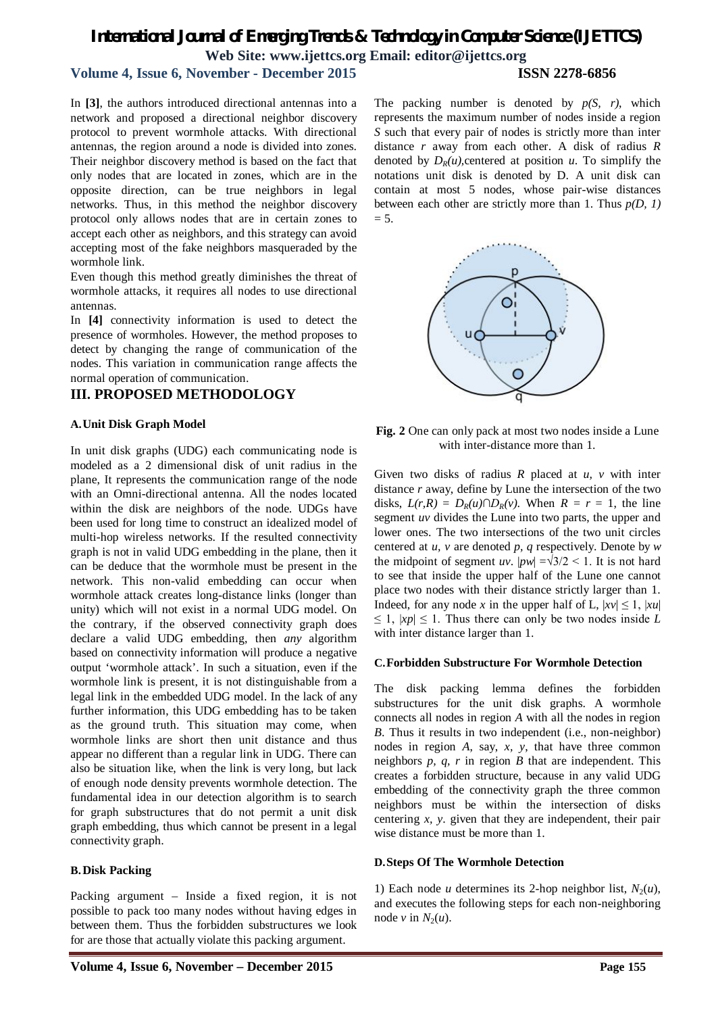In **[3]**, the authors introduced directional antennas into a network and proposed a directional neighbor discovery protocol to prevent wormhole attacks. With directional antennas, the region around a node is divided into zones. Their neighbor discovery method is based on the fact that only nodes that are located in zones, which are in the opposite direction, can be true neighbors in legal networks. Thus, in this method the neighbor discovery protocol only allows nodes that are in certain zones to accept each other as neighbors, and this strategy can avoid accepting most of the fake neighbors masqueraded by the wormhole link.

Even though this method greatly diminishes the threat of wormhole attacks, it requires all nodes to use directional antennas.

In **[4]** connectivity information is used to detect the presence of wormholes. However, the method proposes to detect by changing the range of communication of the nodes. This variation in communication range affects the normal operation of communication.

### **III. PROPOSED METHODOLOGY**

### **A.Unit Disk Graph Model**

In unit disk graphs (UDG) each communicating node is modeled as a 2 dimensional disk of unit radius in the plane, It represents the communication range of the node with an Omni-directional antenna. All the nodes located within the disk are neighbors of the node. UDGs have been used for long time to construct an idealized model of multi-hop wireless networks. If the resulted connectivity graph is not in valid UDG embedding in the plane, then it can be deduce that the wormhole must be present in the network. This non-valid embedding can occur when wormhole attack creates long-distance links (longer than unity) which will not exist in a normal UDG model. On the contrary, if the observed connectivity graph does declare a valid UDG embedding, then *any* algorithm based on connectivity information will produce a negative output 'wormhole attack'. In such a situation, even if the wormhole link is present, it is not distinguishable from a legal link in the embedded UDG model. In the lack of any further information, this UDG embedding has to be taken as the ground truth. This situation may come, when wormhole links are short then unit distance and thus appear no different than a regular link in UDG. There can also be situation like, when the link is very long, but lack of enough node density prevents wormhole detection. The fundamental idea in our detection algorithm is to search for graph substructures that do not permit a unit disk graph embedding, thus which cannot be present in a legal connectivity graph.

### **B.Disk Packing**

Packing argument – Inside a fixed region, it is not possible to pack too many nodes without having edges in between them. Thus the forbidden substructures we look for are those that actually violate this packing argument.

The packing number is denoted by *p(S, r)*, which represents the maximum number of nodes inside a region *S* such that every pair of nodes is strictly more than inter distance *r* away from each other. A disk of radius *R* denoted by  $D_R(u)$ , centered at position *u*. To simplify the notations unit disk is denoted by D. A unit disk can contain at most 5 nodes, whose pair-wise distances between each other are strictly more than 1. Thus *p(D, 1)*  $= 5.$ 



**Fig. 2** One can only pack at most two nodes inside a Lune with inter-distance more than 1.

Given two disks of radius *R* placed at *u, v* with inter distance *r* away, define by Lune the intersection of the two disks,  $L(r, R) = D_R(u) \cap D_R(v)$ . When  $R = r = 1$ , the line segment *uv* divides the Lune into two parts, the upper and lower ones. The two intersections of the two unit circles centered at *u, v* are denoted *p, q* respectively. Denote by *w* the midpoint of segment *uv*.  $|pw| = \sqrt{3}/2 < 1$ . It is not hard to see that inside the upper half of the Lune one cannot place two nodes with their distance strictly larger than 1. Indeed, for any node *x* in the upper half of L,  $|xv| \le 1$ ,  $|xu|$  $\leq 1$ ,  $|xp| \leq 1$ . Thus there can only be two nodes inside *L* with inter distance larger than 1.

### **C.Forbidden Substructure For Wormhole Detection**

The disk packing lemma defines the forbidden substructures for the unit disk graphs. A wormhole connects all nodes in region *A* with all the nodes in region *B*. Thus it results in two independent (i.e., non-neighbor) nodes in region *A*, say, *x, y*, that have three common neighbors *p, q, r* in region *B* that are independent. This creates a forbidden structure, because in any valid UDG embedding of the connectivity graph the three common neighbors must be within the intersection of disks centering *x, y*. given that they are independent, their pair wise distance must be more than 1.

### **D.Steps Of The Wormhole Detection**

1) Each node *u* determines its 2-hop neighbor list,  $N_2(u)$ , and executes the following steps for each non-neighboring node  $v$  in  $N_2(u)$ .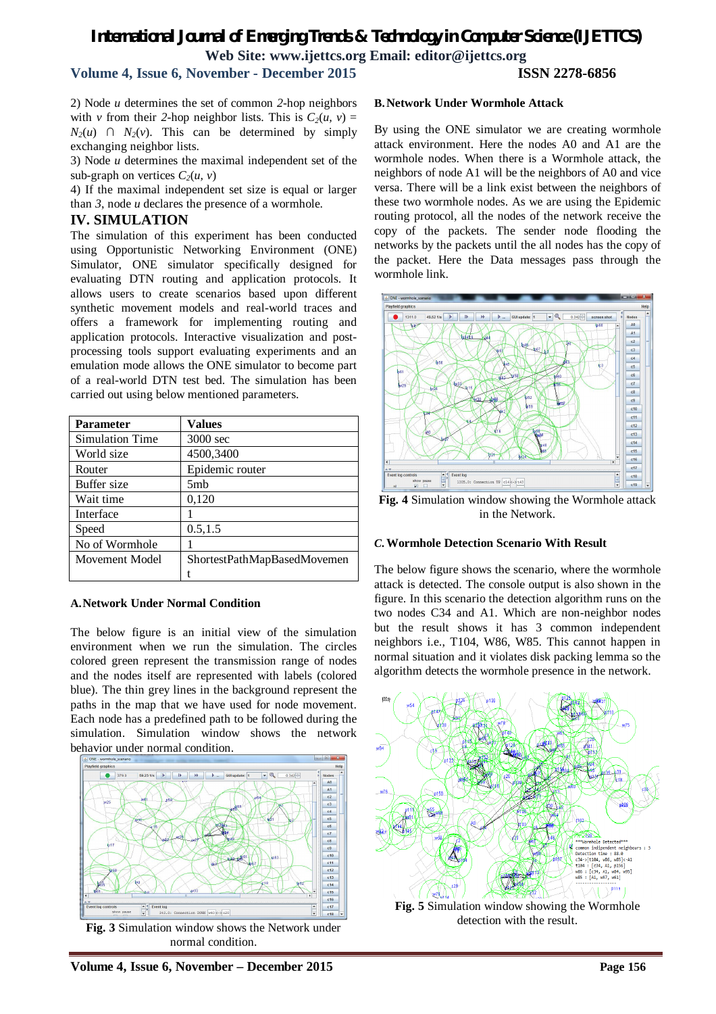2) Node *u* determines the set of common *2*-hop neighbors with *v* from their 2-hop neighbor lists. This is  $C_2(u, v) =$  $N_2(u)$  ∩  $N_2(v)$ . This can be determined by simply exchanging neighbor lists.

3) Node *u* determines the maximal independent set of the sub-graph on vertices  $C_2(u, v)$ 

4) If the maximal independent set size is equal or larger than *3*, node *u* declares the presence of a wormhole.

### **IV. SIMULATION**

The simulation of this experiment has been conducted using Opportunistic Networking Environment (ONE) Simulator, ONE simulator specifically designed for evaluating DTN routing and application protocols. It allows users to create scenarios based upon different synthetic movement models and real-world traces and offers a framework for implementing routing and application protocols. Interactive visualization and postprocessing tools support evaluating experiments and an emulation mode allows the ONE simulator to become part of a real-world DTN test bed. The simulation has been carried out using below mentioned parameters.

| <b>Parameter</b> | Values                      |
|------------------|-----------------------------|
| Simulation Time  | 3000 sec                    |
| World size       | 4500,3400                   |
| Router           | Epidemic router             |
| Buffer size      | 5mb                         |
| Wait time        | 0,120                       |
| Interface        |                             |
| Speed            | 0.5, 1.5                    |
| No of Wormhole   |                             |
| Movement Model   | ShortestPathMapBasedMovemen |
|                  |                             |

#### **A.Network Under Normal Condition**

The below figure is an initial view of the simulation environment when we run the simulation. The circles colored green represent the transmission range of nodes and the nodes itself are represented with labels (colored blue). The thin grey lines in the background represent the paths in the map that we have used for node movement. Each node has a predefined path to be followed during the simulation. Simulation window shows the network behavior under normal condition.



**Fig. 3** Simulation window shows the Network under normal condition.

### **B.Network Under Wormhole Attack**

By using the ONE simulator we are creating wormhole attack environment. Here the nodes A0 and A1 are the wormhole nodes. When there is a Wormhole attack, the neighbors of node A1 will be the neighbors of A0 and vice versa. There will be a link exist between the neighbors of these two wormhole nodes. As we are using the Epidemic routing protocol, all the nodes of the network receive the copy of the packets. The sender node flooding the networks by the packets until the all nodes has the copy of the packet. Here the Data messages pass through the wormhole link.



**Fig. 4** Simulation window showing the Wormhole attack in the Network.

#### *C.***Wormhole Detection Scenario With Result**

The below figure shows the scenario, where the wormhole attack is detected. The console output is also shown in the figure. In this scenario the detection algorithm runs on the two nodes C34 and A1. Which are non-neighbor nodes but the result shows it has 3 common independent neighbors i.e., T104, W86, W85. This cannot happen in normal situation and it violates disk packing lemma so the algorithm detects the wormhole presence in the network.



**Fig. 5** Simulation window showing the Wormhole detection with the result.